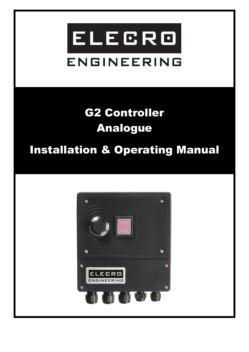# ELECRO **ENGINEERING**

## G2 Controller Analogue

### Installation & Operating Manual

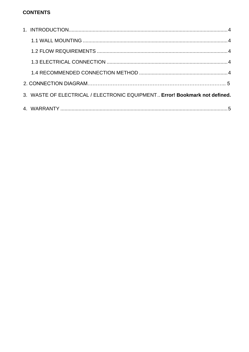#### **CONTENTS**

|  | 3. WASTE OF ELECTRICAL / ELECTRONIC EQUIPMENT Error! Bookmark not defined. |  |  |
|--|----------------------------------------------------------------------------|--|--|
|  |                                                                            |  |  |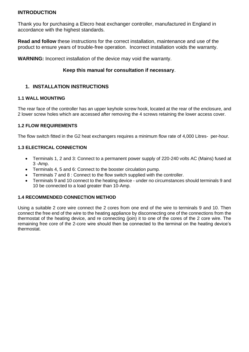#### **INTRODUCTION**

Thank you for purchasing a Elecro heat exchanger controller, manufactured in England in accordance with the highest standards.

**Read and follow** these instructions for the correct installation, maintenance and use of the product to ensure years of trouble-free operation. Incorrect installation voids the warranty.

**WARNING:** Incorrect installation of the device may void the warranty.

#### **Keep this manual for consultation if necessary**.

#### **1. INSTALLATION INSTRUCTIONS**

#### <span id="page-2-0"></span>**1.1 WALL MOUNTING**

The rear face of the controller has an upper keyhole screw hook, located at the rear of the enclosure, and 2 lower screw holes which are accessed after removing the 4 screws retaining the lower access cover.

#### <span id="page-2-1"></span>**1.2 FLOW REQUIREMENTS**

The flow switch fitted in the G2 heat exchangers requires a minimum flow rate of 4,000 Litres- per-hour.

#### <span id="page-2-2"></span>**1.3 ELECTRICAL CONNECTION**

- Terminals 1, 2 and 3: Connect to a permanent power supply of 220-240 volts AC (Mains) fused at 3 -Amp.
- Terminals 4, 5 and 6: Connect to the booster circulation pump.
- Terminals 7 and 8 : Connect to the flow switch supplied with the controller.
- Terminals 9 and 10 connect to the heating device under no circumstances should terminals 9 and 10 be connected to a load greater than 10-Amp.

#### <span id="page-2-3"></span>**1.4 RECOMMENDED CONNECTION METHOD**

Using a suitable 2 core wire connect the 2 cores from one end of the wire to terminals 9 and 10. Then connect the free end of the wire to the heating appliance by disconnecting one of the connections from the thermostat of the heating device, and re connecting (join) it to one of the cores of the 2 core wire. The remaining free core of the 2-core wire should then be connected to the terminal on the heating device's thermostat.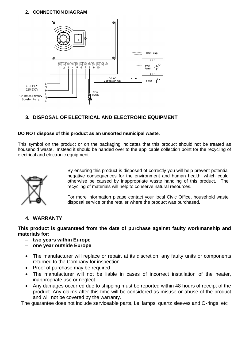#### **2. CONNECTION DIAGRAM**



#### **3. DISPOSAL OF ELECTRICAL AND ELECTRONIC EQUIPMENT**

#### **DO NOT dispose of this product as an unsorted municipal waste.**

This symbol on the product or on the packaging indicates that this product should not be treated as household waste. Instead it should be handed over to the applicable collection point for the recycling of electrical and electronic equipment.



By ensuring this product is disposed of correctly you will help prevent potential negative consequences for the environment and human health, which could otherwise be caused by inappropriate waste handling of this product. The recycling of materials will help to conserve natural resources.

For more information please contact your local Civic Office, household waste disposal service or the retailer where the product was purchased.

#### **4. WARRANTY**

**This product is guaranteed from the date of purchase against faulty workmanship and materials for:**

- **two years within Europe**
- **one year outside Europe**
- The manufacturer will replace or repair, at its discretion, any faulty units or components returned to the Company for inspection
- Proof of purchase may be required
- The manufacturer will not be liable in cases of incorrect installation of the heater, inappropriate use or neglect
- Any damages occurred due to shipping must be reported within 48 hours of receipt of the product. Any claims after this time will be considered as misuse or abuse of the product and will not be covered by the warranty.

The guarantee does not include serviceable parts, i.e. lamps, quartz sleeves and O-rings, etc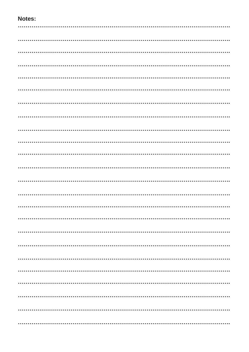#### Notes: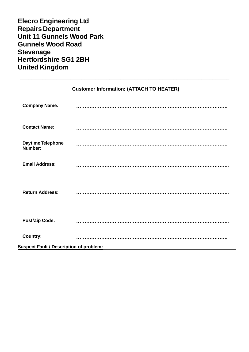| <b>Elecro Engineering Ltd</b>    |
|----------------------------------|
| <b>Repairs Department</b>        |
| <b>Unit 11 Gunnels Wood Park</b> |
| <b>Gunnels Wood Road</b>         |
| <b>Stevenage</b>                 |
| <b>Hertfordshire SG1 2BH</b>     |
| <b>United Kingdom</b>            |

|                                                | <b>Customer Information: (ATTACH TO HEATER)</b> |  |  |  |
|------------------------------------------------|-------------------------------------------------|--|--|--|
| <b>Company Name:</b>                           |                                                 |  |  |  |
| <b>Contact Name:</b>                           |                                                 |  |  |  |
| <b>Daytime Telephone</b><br>Number:            |                                                 |  |  |  |
| <b>Email Address:</b>                          |                                                 |  |  |  |
|                                                |                                                 |  |  |  |
| <b>Return Address:</b>                         |                                                 |  |  |  |
|                                                |                                                 |  |  |  |
| <b>Post/Zip Code:</b>                          |                                                 |  |  |  |
| <b>Country:</b>                                |                                                 |  |  |  |
| <b>Suspect Fault / Description of problem:</b> |                                                 |  |  |  |
|                                                |                                                 |  |  |  |

\_\_\_\_\_\_\_\_\_\_\_\_\_\_\_\_\_\_\_\_\_\_\_\_\_\_\_\_\_\_\_\_\_\_\_\_\_\_\_\_\_\_\_\_\_\_\_\_\_\_\_\_\_\_\_\_\_\_\_\_\_\_\_\_\_\_\_\_\_\_\_\_\_\_\_